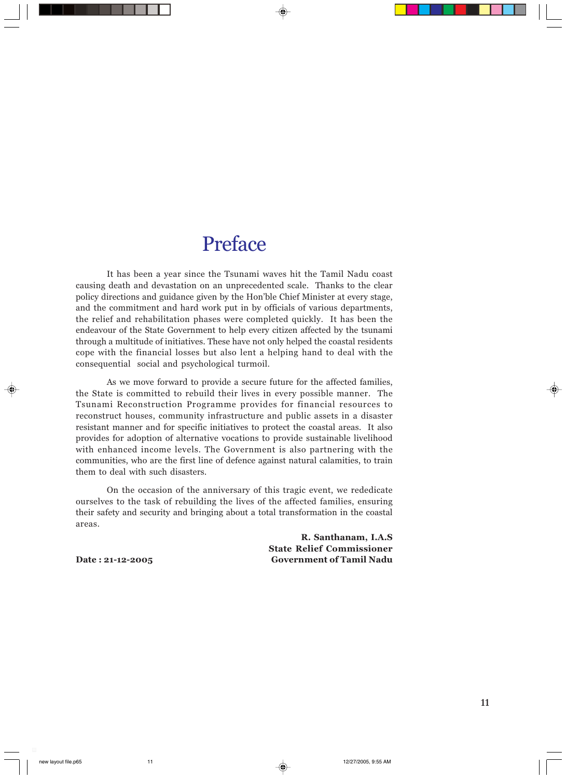## Preface

It has been a year since the Tsunami waves hit the Tamil Nadu coast causing death and devastation on an unprecedented scale. Thanks to the clear policy directions and guidance given by the Hon'ble Chief Minister at every stage, and the commitment and hard work put in by officials of various departments, the relief and rehabilitation phases were completed quickly. It has been the endeavour of the State Government to help every citizen affected by the tsunami through a multitude of initiatives. These have not only helped the coastal residents cope with the financial losses but also lent a helping hand to deal with the consequential social and psychological turmoil.

As we move forward to provide a secure future for the affected families, the State is committed to rebuild their lives in every possible manner. The Tsunami Reconstruction Programme provides for financial resources to reconstruct houses, community infrastructure and public assets in a disaster resistant manner and for specific initiatives to protect the coastal areas. It also provides for adoption of alternative vocations to provide sustainable livelihood with enhanced income levels. The Government is also partnering with the communities, who are the first line of defence against natural calamities, to train them to deal with such disasters.

On the occasion of the anniversary of this tragic event, we rededicate ourselves to the task of rebuilding the lives of the affected families, ensuring their safety and security and bringing about a total transformation in the coastal areas.

R. Santhanam, I.A.S State Relief Commissioner Date : 21-12-2005 Government of Tamil Nadu